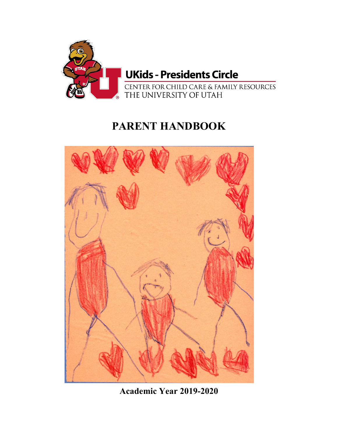

# **PARENT HANDBOOK**



**Academic Year 2019-2020**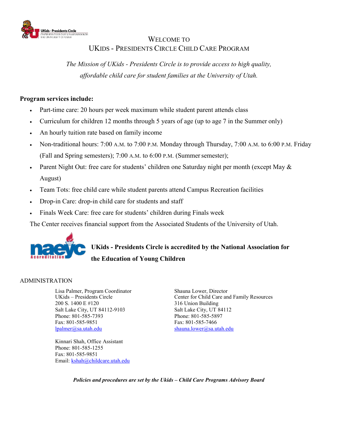

## WELCOME TO UKIDS - PRESIDENTS CIRCLE CHILD CARE PROGRAM

*The Mission of UKids - Presidents Circle is to provide access to high quality, affordable child care for student families at the University of Utah.*

#### **Program services include:**

- Part-time care: 20 hours per week maximum while student parent attends class
- Curriculum for children 12 months through 5 years of age (up to age 7 in the Summer only)
- An hourly tuition rate based on family income
- Non-traditional hours: 7:00 A.M. to 7:00 P.M. Monday through Thursday, 7:00 A.M. to 6:00 P.M. Friday (Fall and Spring semesters); 7:00 A.M. to 6:00 P.M. (Summer semester);
- Parent Night Out: free care for students' children one Saturday night per month (except May & August)
- Team Tots: free child care while student parents attend Campus Recreation facilities
- Drop-in Care: drop-in child care for students and staff
- Finals Week Care: free care for students' children during Finals week

The Center receives financial support from the Associated Students of the University of Utah.



## **UKids - Presidents Circle is accredited by the National Association for the Education of Young Children**

## ADMINISTRATION

Lisa Palmer, Program Coordinator UKids – Presidents Circle 200 S. 1400 E #120 316 Union Building Salt Lake City, UT 84112-9103 Salt Lake City, UT 84112 Phone: 801-585-7393 Phone: 801-585-5897 Fax: 801-585-9851 Fax: 801-585-7466<br>
lpalmer@sa.utah.edu shauna.lower@sa.u

Kinnari Shah, Office Assistant Phone: 801-585-1255 Fax: 801-585-9851 Email: [kshah@childcare.utah.edu](mailto:kshah@childcare.utah.edu) Shauna Lower, Director Center for Child Care and Family Resources [shauna.lower@sa.utah.edu](mailto:shauna.lower@sa.utah.edu)

*Policies and procedures are set by the Ukids – Child Care Programs Advisory Board*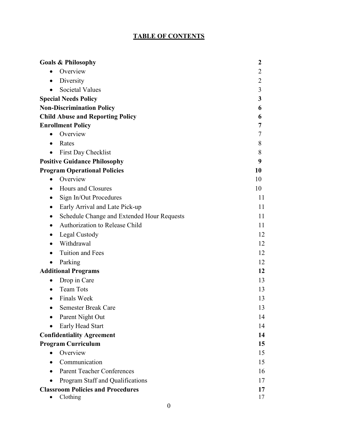## **TABLE OF CONTENTS**

| <b>Goals &amp; Philosophy</b>                 | $\boldsymbol{2}$ |
|-----------------------------------------------|------------------|
| Overview<br>$\bullet$                         | 2                |
| Diversity<br>$\bullet$                        | 2                |
| <b>Societal Values</b><br>$\bullet$           | 3                |
| <b>Special Needs Policy</b>                   | 3                |
| <b>Non-Discrimination Policy</b>              | 6                |
| <b>Child Abuse and Reporting Policy</b>       | 6                |
| <b>Enrollment Policy</b>                      | 7                |
| Overview<br>$\bullet$                         | 7                |
| Rates<br>$\bullet$                            | 8                |
| First Day Checklist<br>$\bullet$              | 8                |
| <b>Positive Guidance Philosophy</b>           | 9                |
| <b>Program Operational Policies</b>           | 10               |
| Overview<br>$\bullet$                         | 10               |
| Hours and Closures<br>$\bullet$               | 10               |
| Sign In/Out Procedures<br>$\bullet$           | 11               |
| Early Arrival and Late Pick-up<br>$\bullet$   | 11               |
| Schedule Change and Extended Hour Requests    | 11               |
| Authorization to Release Child                | 11               |
| Legal Custody<br>$\bullet$                    | 12               |
| Withdrawal<br>$\bullet$                       | 12               |
| Tuition and Fees                              | 12               |
| Parking<br>$\bullet$                          | 12               |
| <b>Additional Programs</b>                    | 12               |
| Drop in Care<br>$\bullet$                     | 13               |
| <b>Team Tots</b><br>$\bullet$                 | 13               |
| <b>Finals Week</b><br>$\bullet$               | 13               |
| <b>Semester Break Care</b><br>$\bullet$       | 13               |
| Parent Night Out                              | 14               |
| Early Head Start                              | 14               |
| <b>Confidentiality Agreement</b>              | 14               |
| <b>Program Curriculum</b>                     | 15               |
| Overview                                      | 15               |
| Communication                                 | 15               |
| <b>Parent Teacher Conferences</b>             | 16               |
| Program Staff and Qualifications<br>$\bullet$ | 17               |
| <b>Classroom Policies and Procedures</b>      | 17               |
| Clothing<br>$\bullet$                         | 17               |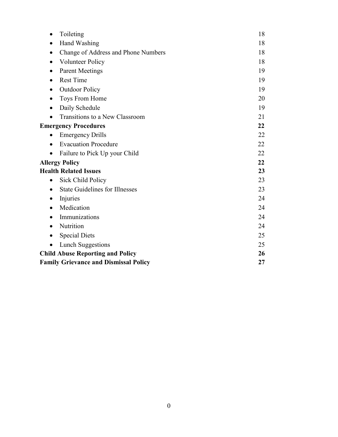| Toileting<br>$\bullet$                             | 18 |
|----------------------------------------------------|----|
| Hand Washing                                       | 18 |
| Change of Address and Phone Numbers                | 18 |
| <b>Volunteer Policy</b>                            | 18 |
| <b>Parent Meetings</b>                             | 19 |
| <b>Rest Time</b>                                   | 19 |
| <b>Outdoor Policy</b>                              | 19 |
| Toys From Home                                     | 20 |
| Daily Schedule<br>٠                                | 19 |
| Transitions to a New Classroom<br>$\bullet$        | 21 |
| <b>Emergency Procedures</b>                        | 22 |
| <b>Emergency Drills</b>                            | 22 |
| <b>Evacuation Procedure</b>                        | 22 |
| Failure to Pick Up your Child                      | 22 |
| <b>Allergy Policy</b>                              | 22 |
| <b>Health Related Issues</b>                       | 23 |
| <b>Sick Child Policy</b><br>$\bullet$              | 23 |
| <b>State Guidelines for Illnesses</b><br>$\bullet$ | 23 |
| Injuries<br>$\bullet$                              | 24 |
| Medication<br>٠                                    | 24 |
| Immunizations                                      | 24 |
| Nutrition<br>$\bullet$                             | 24 |
| <b>Special Diets</b><br>$\bullet$                  | 25 |
| <b>Lunch Suggestions</b>                           | 25 |
| <b>Child Abuse Reporting and Policy</b>            | 26 |
| <b>Family Grievance and Dismissal Policy</b>       | 27 |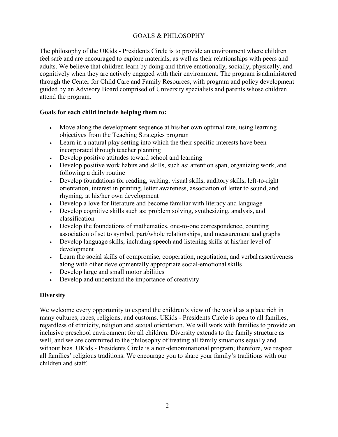#### GOALS & PHILOSOPHY

The philosophy of the UKids - Presidents Circle is to provide an environment where children feel safe and are encouraged to explore materials, as well as their relationships with peers and adults. We believe that children learn by doing and thrive emotionally, socially, physically, and cognitively when they are actively engaged with their environment. The program is administered through the Center for Child Care and Family Resources, with program and policy development guided by an Advisory Board comprised of University specialists and parents whose children attend the program.

#### **Goals for each child include helping them to:**

- Move along the development sequence at his/her own optimal rate, using learning objectives from the Teaching Strategies program
- Learn in a natural play setting into which the their specific interests have been incorporated through teacher planning
- Develop positive attitudes toward school and learning
- Develop positive work habits and skills, such as: attention span, organizing work, and following a daily routine
- Develop foundations for reading, writing, visual skills, auditory skills, left-to-right orientation, interest in printing, letter awareness, association of letter to sound, and rhyming, at his/her own development
- Develop a love for literature and become familiar with literacy and language
- Develop cognitive skills such as: problem solving, synthesizing, analysis, and classification
- Develop the foundations of mathematics, one-to-one correspondence, counting association of set to symbol, part/whole relationships, and measurement and graphs
- Develop language skills, including speech and listening skills at his/her level of development
- Learn the social skills of compromise, cooperation, negotiation, and verbal assertiveness along with other developmentally appropriate social-emotional skills
- Develop large and small motor abilities
- Develop and understand the importance of creativity

## <span id="page-4-0"></span>**Diversity**

We welcome every opportunity to expand the children's view of the world as a place rich in many cultures, races, religions, and customs. UKids - Presidents Circle is open to all families, regardless of ethnicity, religion and sexual orientation. We will work with families to provide an inclusive preschool environment for all children. Diversity extends to the family structure as well, and we are committed to the philosophy of treating all family situations equally and without bias. UKids - Presidents Circle is a non-denominational program; therefore, we respect all families' religious traditions. We encourage you to share your family's traditions with our children and staff.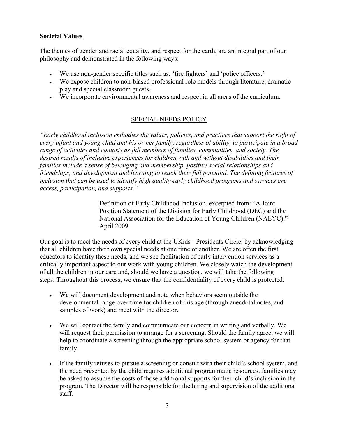## <span id="page-5-0"></span>**Societal Values**

The themes of gender and racial equality, and respect for the earth, are an integral part of our philosophy and demonstrated in the following ways:

- We use non-gender specific titles such as; 'fire fighters' and 'police officers.'
- We expose children to non-biased professional role models through literature, dramatic play and special classroom guests.
- We incorporate environmental awareness and respect in all areas of the curriculum.

## SPECIAL NEEDS POLICY

*"Early childhood inclusion embodies the values, policies, and practices that support the right of every infant and young child and his or her family, regardless of ability, to participate in a broad range of activities and contexts as full members of families, communities, and society. The desired results of inclusive experiences for children with and without disabilities and their families include a sense of belonging and membership, positive social relationships and friendships, and development and learning to reach their full potential. The defining features of inclusion that can be used to identify high quality early childhood programs and services are access, participation, and supports."*

> Definition of Early Childhood Inclusion, excerpted from: "A Joint Position Statement of the Division for Early Childhood (DEC) and the National Association for the Education of Young Children (NAEYC)," April 2009

Our goal is to meet the needs of every child at the UKids - Presidents Circle, by acknowledging that all children have their own special needs at one time or another. We are often the first educators to identify these needs, and we see facilitation of early intervention services as a critically important aspect to our work with young children. We closely watch the development of all the children in our care and, should we have a question, we will take the following steps. Throughout this process, we ensure that the confidentiality of every child is protected:

- We will document development and note when behaviors seem outside the developmental range over time for children of this age (through anecdotal notes, and samples of work) and meet with the director.
- We will contact the family and communicate our concern in writing and verbally. We will request their permission to arrange for a screening. Should the family agree, we will help to coordinate a screening through the appropriate school system or agency for that family.
- If the family refuses to pursue a screening or consult with their child's school system, and the need presented by the child requires additional programmatic resources, families may be asked to assume the costs of those additional supports for their child's inclusion in the program. The Director will be responsible for the hiring and supervision of the additional staff.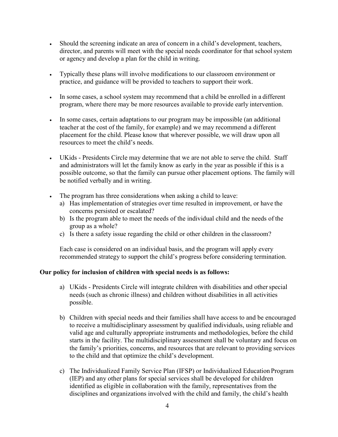- Should the screening indicate an area of concern in a child's development, teachers, director, and parents will meet with the special needs coordinator for that school system or agency and develop a plan for the child in writing.
- Typically these plans will involve modifications to our classroom environment or practice, and guidance will be provided to teachers to support their work.
- In some cases, a school system may recommend that a child be enrolled in a different program, where there may be more resources available to provide early intervention.
- In some cases, certain adaptations to our program may be impossible (an additional teacher at the cost of the family, for example) and we may recommend a different placement for the child. Please know that wherever possible, we will draw upon all resources to meet the child's needs.
- UKids Presidents Circle may determine that we are not able to serve the child. Staff and administrators will let the family know as early in the year as possible if this is a possible outcome, so that the family can pursue other placement options. The family will be notified verbally and in writing.
- The program has three considerations when asking a child to leave:
	- a) Has implementation of strategies over time resulted in improvement, or have the concerns persisted or escalated?
	- b) Is the program able to meet the needs of the individual child and the needs of the group as a whole?
	- c) Is there a safety issue regarding the child or other children in the classroom?

Each case is considered on an individual basis, and the program will apply every recommended strategy to support the child's progress before considering termination.

## **Our policy for inclusion of children with special needs is as follows:**

- a) UKids Presidents Circle will integrate children with disabilities and other special needs (such as chronic illness) and children without disabilities in all activities possible.
- b) Children with special needs and their families shall have access to and be encouraged to receive a multidisciplinary assessment by qualified individuals, using reliable and valid age and culturally appropriate instruments and methodologies, before the child starts in the facility. The multidisciplinary assessment shall be voluntary and focus on the family's priorities, concerns, and resources that are relevant to providing services to the child and that optimize the child's development.
- c) The Individualized Family Service Plan (IFSP) or Individualized Education Program (IEP) and any other plans for special services shall be developed for children identified as eligible in collaboration with the family, representatives from the disciplines and organizations involved with the child and family, the child's health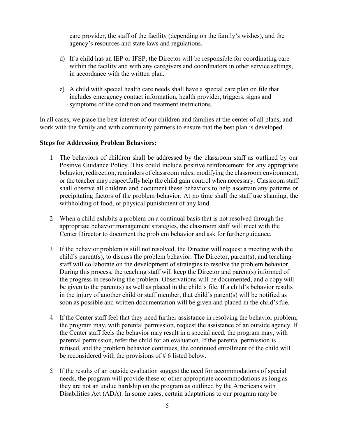care provider, the staff of the facility (depending on the family's wishes), and the agency's resources and state laws and regulations.

- d) If a child has an IEP or IFSP, the Director will be responsible for coordinating care within the facility and with any caregivers and coordinators in other service settings, in accordance with the written plan.
- e) A child with special health care needs shall have a special care plan on file that includes emergency contact information, health provider, triggers, signs and symptoms of the condition and treatment instructions.

In all cases, we place the best interest of our children and families at the center of all plans, and work with the family and with community partners to ensure that the best plan is developed.

#### **Steps for Addressing Problem Behaviors:**

- 1. The behaviors of children shall be addressed by the classroom staff as outlined by our Positive Guidance Policy. This could include positive reinforcement for any appropriate behavior, redirection, reminders of classroom rules, modifying the classroom environment, or the teacher may respectfully help the child gain control when necessary. Classroom staff shall observe all children and document these behaviors to help ascertain any patterns or precipitating factors of the problem behavior. At no time shall the staff use shaming, the withholding of food, or physical punishment of any kind.
- 2. When a child exhibits a problem on a continual basis that is not resolved through the appropriate behavior management strategies, the classroom staff will meet with the Center Director to document the problem behavior and ask for further guidance.
- 3. If the behavior problem is still not resolved, the Director will request a meeting with the child's parent(s), to discuss the problem behavior. The Director, parent(s), and teaching staff will collaborate on the development of strategies to resolve the problem behavior. During this process, the teaching staff will keep the Director and parent(s) informed of the progress in resolving the problem. Observations will be documented, and a copy will be given to the parent(s) as well as placed in the child's file. If a child's behavior results in the injury of another child or staff member, that child's parent(s) will be notified as soon as possible and written documentation will be given and placed in the child's file.
- 4. If the Center staff feel that they need further assistance in resolving the behavior problem, the program may, with parental permission, request the assistance of an outside agency. If the Center staff feels the behavior may result in a special need, the program may, with parental permission, refer the child for an evaluation. If the parental permission is refused, and the problem behavior continues, the continued enrollment of the child will be reconsidered with the provisions of # 6 listed below.
- 5. If the results of an outside evaluation suggest the need for accommodations of special needs, the program will provide these or other appropriate accommodations as long as they are not an undue hardship on the program as outlined by the Americans with Disabilities Act (ADA). In some cases, certain adaptations to our program may be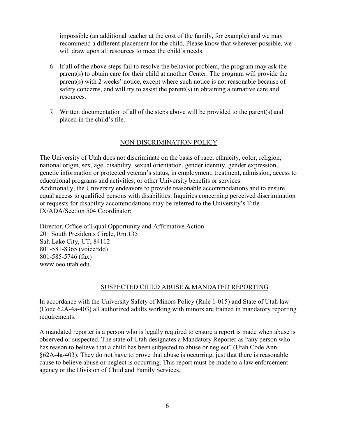impossible (an additional teacher at the cost of the family, for example) and we may recommend a different placement for the child. Please know that wherever possible, we will draw upon all resources to meet the child's needs.

- 6. If all of the above steps fail to resolve the behavior problem, the program may ask the parent(s) to obtain care for their child at another Center. The program will provide the parent(s) with 2 weeks' notice, except where such notice is not reasonable because of safety concerns, and will try to assist the parent(s) in obtaining alternative care and resources.
- 7. Written documentation of all of the steps above will be provided to the parent(s) and placed in the child's file.

#### NON-DISCRIMINATION POLICY

The University of Utah does not discriminate on the basis of race, ethnicity, color, religion, national origin, sex, age, disability, sexual orientation, gender identity, gender expression, genetic information or protected veteran's status, in employment, treatment, admission, access to educational programs and activities, or other University benefits or services. Additionally, the University endeavors to provide reasonable accommodations and to ensure equal access to qualified persons with disabilities. Inquiries concerning perceived discrimination or requests for disability accommodations may be referred to the University's Title IX/ADA/Section 504 Coordinator:

Director, Office of Equal Opportunity and Affirmative Action 201 South Presidents Circle, Rm.135 Salt Lake City, UT, 84112 801-581-8365 (voice/tdd) 801-585-5746 (fax) [www.oeo.utah.edu.](http://www.oeo.utah.edu/)

#### SUSPECTED CHILD ABUSE & MANDATED REPORTING

In accordance with the University Safety of Minors Policy (Rule 1-015) and State of Utah law (Code 62A-4a-403) all authorized adults working with minors are trained in mandatory reporting requirements.

A mandated reporter is a person who is legally required to ensure a report is made when abuse is observed or suspected. The state of Utah designates a Mandatory Reporter as "any person who has reason to believe that a child has been subjected to abuse or neglect" (Utah Code Ann. §62A-4a-403). They do not have to prove that abuse is occurring, just that there is reasonable cause to believe abuse or neglect is occurring. This report must be made to a law enforcement agency or the Division of Child and Family Services.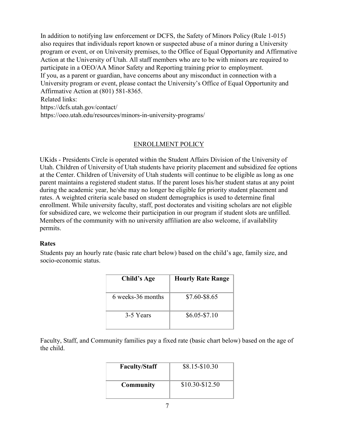In addition to notifying law enforcement or DCFS, the Safety of Minors Policy (Rule 1-015) also requires that individuals report known or suspected abuse of a minor during a University program or event, or on University premises, to the Office of Equal Opportunity and Affirmative Action at the University of Utah. All staff members who are to be with minors are required to participate in a OEO/AA Minor Safety and Reporting training prior to employment. If you, as a parent or guardian, have concerns about any misconduct in connection with a University program or event, please contact the University's Office of Equal Opportunity and Affirmative Action at (801) 581-8365. Related links: https://dcfs.utah.gov/contact/ https://oeo.utah.edu/resources/minors-in-university-programs/

#### ENROLLMENT POLICY

UKids - Presidents Circle is operated within the Student Affairs Division of the University of Utah. Children of University of Utah students have priority placement and subsidized fee options at the Center. Children of University of Utah students will continue to be eligible as long as one parent maintains a registered student status. If the parent loses his/her student status at any point during the academic year, he/she may no longer be eligible for priority student placement and rates. A weighted criteria scale based on student demographics is used to determine final enrollment. While university faculty, staff, post doctorates and visiting scholars are not eligible for subsidized care, we welcome their participation in our program if student slots are unfilled. Members of the community with no university affiliation are also welcome, if availability permits.

#### <span id="page-9-0"></span>**Rates**

Students pay an hourly rate (basic rate chart below) based on the child's age, family size, and socio-economic status.

| Child's Age       | <b>Hourly Rate Range</b> |
|-------------------|--------------------------|
| 6 weeks-36 months | \$7.60-\$8.65            |
| 3-5 Years         | $$6.05 - $7.10$          |

Faculty, Staff, and Community families pay a fixed rate (basic chart below) based on the age of the child.

| <b>Faculty/Staff</b> | \$8.15-\$10.30  |
|----------------------|-----------------|
| <b>Community</b>     | \$10.30-\$12.50 |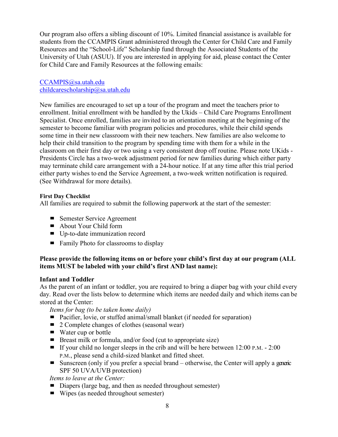Our program also offers a sibling discount of 10%. Limited financial assistance is available for students from the CCAMPIS Grant administered through the Center for Child Care and Family Resources and the "School-Life" Scholarship fund through the Associated Students of the University of Utah (ASUU). If you are interested in applying for aid, please contact the Center for Child Care and Family Resources at the following emails:

[CCAMPIS@sa.utah.edu](mailto:ccampis@sa.utah.edu) [childcarescholarship@sa.utah.edu](mailto:childcarescholarship@sa.utah.edu)

New families are encouraged to set up a tour of the program and meet the teachers prior to enrollment. Initial enrollment with be handled by the Ukids – Child Care Programs Enrollment Specialist. Once enrolled, families are invited to an orientation meeting at the beginning of the semester to become familiar with program policies and procedures, while their child spends some time in their new classroom with their new teachers. New families are also welcome to help their child transition to the program by spending time with them for a while in the classroom on their first day or two using a very consistent drop off routine. Please note UKids - Presidents Circle has a two-week adjustment period for new families during which either party may terminate child care arrangement with a 24-hour notice. If at any time after this trial period either party wishes to end the Service Agreement, a two-week written notification is required. (See Withdrawal for more details).

#### **First Day Checklist**

All families are required to submit the following paperwork at the start of the semester:

- Semester Service Agreement
- About Your Child form
- Up-to-date immunization record
- Family Photo for classrooms to display

## **Please provide the following items on or before your child's first day at our program (ALL items MUST be labeled with your child's first AND last name):**

## **Infant and Toddler**

As the parent of an infant or toddler, you are required to bring a diaper bag with your child every day. Read over the lists below to determine which items are needed daily and which items can be stored at the Center:

*Items for bag (to be taken home daily)*

- Pacifier, lovie, or stuffed animal/small blanket (if needed for separation)
- 2 Complete changes of clothes (seasonal wear)
- Water cup or bottle
- Breast milk or formula, and/or food (cut to appropriate size)
- If your child no longer sleeps in the crib and will be here between  $12:00$  P.M.  $2:00$ P.M., please send a child-sized blanket and fitted sheet.
- Sunscreen (only if you prefer a special brand otherwise, the Center will apply a generic SPF 50 UVA/UVB protection)

*Items to leave at the Center:*

- Diapers (large bag, and then as needed throughout semester)
- Wipes (as needed throughout semester)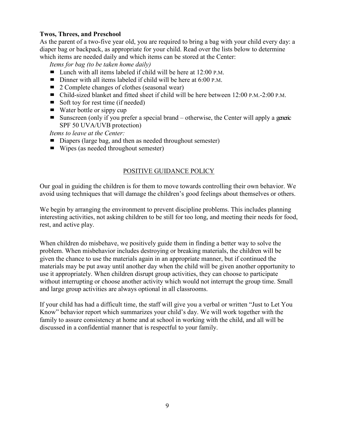## **Twos, Threes, and Preschool**

As the parent of a two-five year old, you are required to bring a bag with your child every day: a diaper bag or backpack, as appropriate for your child. Read over the lists below to determine which items are needed daily and which items can be stored at the Center:

*Items for bag (to be taken home daily)*

- Lunch with all items labeled if child will be here at 12:00 P.M.
- Dinner with all items labeled if child will be here at  $6:00$  P.M.
- $\blacksquare$  2 Complete changes of clothes (seasonal wear)
- Child-sized blanket and fitted sheet if child will be here between 12:00 P.M.-2:00 P.M.
- $\blacksquare$  Soft toy for rest time (if needed)
- $\blacksquare$  Water bottle or sippy cup
- Sunscreen (only if you prefer a special brand otherwise, the Center will apply a generic SPF 50 UVA/UVB protection)

*Items to leave at the Center:*

- Diapers (large bag, and then as needed throughout semester)
- Wipes (as needed throughout semester)

#### POSITIVE GUIDANCE POLICY

Our goal in guiding the children is for them to move towards controlling their own behavior. We avoid using techniques that will damage the children's good feelings about themselves or others.

We begin by arranging the environment to prevent discipline problems. This includes planning interesting activities, not asking children to be still for too long, and meeting their needs for food, rest, and active play.

When children do misbehave, we positively guide them in finding a better way to solve the problem. When misbehavior includes destroying or breaking materials, the children will be given the chance to use the materials again in an appropriate manner, but if continued the materials may be put away until another day when the child will be given another opportunity to use it appropriately. When children disrupt group activities, they can choose to participate without interrupting or choose another activity which would not interrupt the group time. Small and large group activities are always optional in all classrooms.

If your child has had a difficult time, the staff will give you a verbal or written "Just to Let You Know" behavior report which summarizes your child's day. We will work together with the family to assure consistency at home and at school in working with the child, and all will be discussed in a confidential manner that is respectful to your family.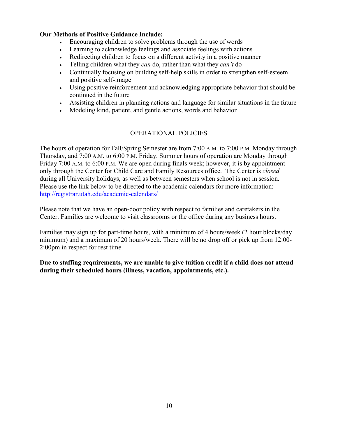#### **Our Methods of Positive Guidance Include:**

- Encouraging children to solve problems through the use of words
- Learning to acknowledge feelings and associate feelings with actions
- Redirecting children to focus on a different activity in a positive manner
- Telling children what they *can* do, rather than what they *can't* do
- Continually focusing on building self-help skills in order to strengthen self-esteem and positive self-image
- Using positive reinforcement and acknowledging appropriate behavior that should be continued in the future
- Assisting children in planning actions and language for similar situations in the future
- Modeling kind, patient, and gentle actions, words and behavior

## OPERATIONAL POLICIES

The hours of operation for Fall/Spring Semester are from 7:00 A.M. to 7:00 P.M. Monday through Thursday, and 7:00 A.M. to 6:00 P.M. Friday. Summer hours of operation are Monday through Friday 7:00 A.M. to 6:00 P.M. We are open during finals week; however, it is by appointment only through the Center for Child Care and Family Resources office. The Center is *closed*  during all University holidays, as well as between semesters when school is not in session. Please use the link below to be directed to the academic calendars for more information: <http://registrar.utah.edu/academic-calendars/>

Please note that we have an open-door policy with respect to families and caretakers in the Center. Families are welcome to visit classrooms or the office during any business hours.

Families may sign up for part-time hours, with a minimum of 4 hours/week (2 hour blocks/day minimum) and a maximum of 20 hours/week. There will be no drop off or pick up from 12:00- 2:00pm in respect for rest time.

**Due to staffing requirements, we are unable to give tuition credit if a child does not attend during their scheduled hours (illness, vacation, appointments, etc.).**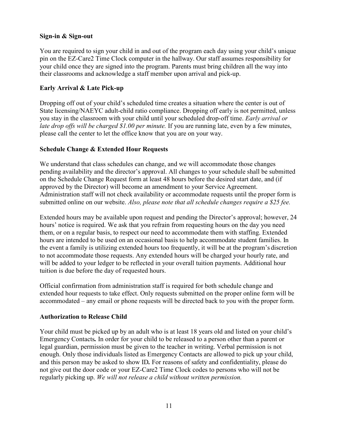#### **Sign-in & Sign-out**

You are required to sign your child in and out of the program each day using your child's unique pin on the EZ-Care2 Time Clock computer in the hallway. Our staff assumes responsibility for your child once they are signed into the program. Parents must bring children all the way into their classrooms and acknowledge a staff member upon arrival and pick-up.

#### **Early Arrival & Late Pick-up**

Dropping off out of your child's scheduled time creates a situation where the center is out of State licensing/NAEYC adult-child ratio compliance. Dropping off early is not permitted, unless you stay in the classroom with your child until your scheduled drop-off time. *Early arrival or late drop offs will be charged \$1.00 per minute.* If you are running late, even by a few minutes, please call the center to let the office know that you are on your way.

#### **Schedule Change & Extended Hour Requests**

We understand that class schedules can change, and we will accommodate those changes pending availability and the director's approval. All changes to your schedule shall be submitted on the Schedule Change Request form at least 48 hours before the desired start date, and (if approved by the Director) will become an amendment to your Service Agreement. Administration staff will not check availability or accommodate requests until the proper form is submitted online on our website. *Also, please note that all schedule changes require a \$25 fee.*

Extended hours may be available upon request and pending the Director's approval; however, 24 hours' notice is required. We ask that you refrain from requesting hours on the day you need them, or on a regular basis, to respect our need to accommodate them with staffing. Extended hours are intended to be used on an occasional basis to help accommodate student families. In the event a family is utilizing extended hours too frequently, it will be at the program's discretion to not accommodate those requests. Any extended hours will be charged your hourly rate, and will be added to your ledger to be reflected in your overall tuition payments. Additional hour tuition is due before the day of requested hours.

Official confirmation from administration staff is required for both schedule change and extended hour requests to take effect. Only requests submitted on the proper online form will be accommodated – any email or phone requests will be directed back to you with the proper form.

#### <span id="page-13-0"></span>**Authorization to Release Child**

Your child must be picked up by an adult who is at least 18 years old and listed on your child's Emergency Contacts*.* In order for your child to be released to a person other than a parent or legal guardian, permission must be given to the teacher in writing. Verbal permission is not enough. Only those individuals listed as Emergency Contacts are allowed to pick up your child, and this person may be asked to show ID*.* For reasons of safety and confidentiality, please do not give out the door code or your EZ-Care2 Time Clock codes to persons who will not be regularly picking up. *We will not release a child without written permission.*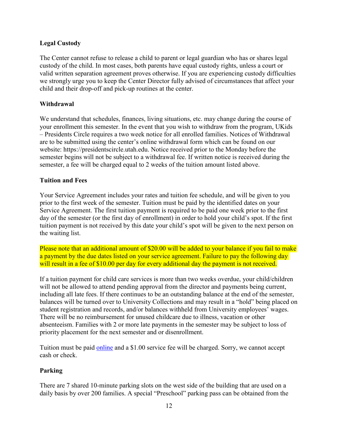## <span id="page-14-0"></span>**Legal Custody**

The Center cannot refuse to release a child to parent or legal guardian who has or shares legal custody of the child. In most cases, both parents have equal custody rights, unless a court or valid written separation agreement proves otherwise. If you are experiencing custody difficulties we strongly urge you to keep the Center Director fully advised of circumstances that affect your child and their drop-off and pick-up routines at the center.

## <span id="page-14-1"></span>**Withdrawal**

We understand that schedules, finances, living situations, etc. may change during the course of your enrollment this semester. In the event that you wish to withdraw from the program, UKids – Presidents Circle requires a two week notice for all enrolled families. Notices of Withdrawal are to be submitted using the center's online withdrawal form which can be found on our website: https://presidentscircle.utah.edu. Notice received prior to the Monday before the semester begins will not be subject to a withdrawal fee. If written notice is received during the semester, a fee will be charged equal to 2 weeks of the tuition amount listed above.

## <span id="page-14-2"></span>**Tuition and Fees**

Your Service Agreement includes your rates and tuition fee schedule, and will be given to you prior to the first week of the semester. Tuition must be paid by the identified dates on your Service Agreement. The first tuition payment is required to be paid one week prior to the first day of the semester (or the first day of enrollment) in order to hold your child's spot. If the first tuition payment is not received by this date your child's spot will be given to the next person on the waiting list.

Please note that an additional amount of \$20.00 will be added to your balance if you fail to make a payment by the due dates listed on your service agreement. Failure to pay the following day will result in a fee of \$10.00 per day for every additional day the payment is not received.

If a tuition payment for child care services is more than two weeks overdue, your child/children will not be allowed to attend pending approval from the director and payments being current, including all late fees. If there continues to be an outstanding balance at the end of the semester, balances will be turned over to University Collections and may result in a "hold" being placed on student registration and records, and/or balances withheld from University employees' wages. There will be no reimbursement for unused childcare due to illness, vacation or other absenteeism. Families with 2 or more late payments in the semester may be subject to loss of priority placement for the next semester and or disenrollment.

Tuition must be paid [online](http://presidentscircle.childcare.utah.edu/enrollment/online-payment.php) and a \$1.00 service fee will be charged. Sorry, we cannot accept cash or check.

## <span id="page-14-3"></span>**Parking**

There are 7 shared 10-minute parking slots on the west side of the building that are used on a daily basis by over 200 families. A special "Preschool" parking pass can be obtained from the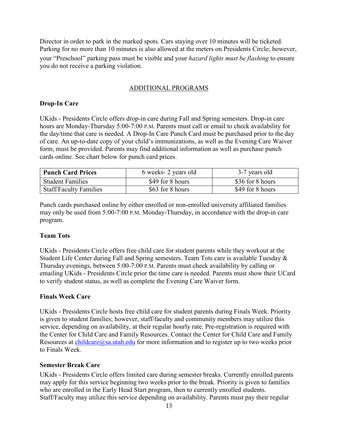Director in order to park in the marked spots. Cars staying over 10 minutes will be ticketed. Parking for no more than 10 minutes is also allowed at the meters on Presidents Circle; however, your "Preschool" parking pass must be visible and your *hazard lights must be flashing* to ensure you do not receive a parking violation.

## ADDITIONAL PROGRAMS

## <span id="page-15-0"></span>**Drop-In Care**

UKids - Presidents Circle offers drop-in care during Fall and Spring semesters. Drop-in care hours are Monday-Thursday 5:00-7:00 P.M. Parents must call or email to check availability for the day/time that care is needed. A Drop-In Care Punch Card must be purchased prior to the day of care. An up-to-date copy of your child's immunizations, as well as the Evening Care Waiver form, must be provided. Parents may find additional information as well as purchase punch cards online. See chart below for punch card prices.

| <b>Punch Card Prices</b>      | 6 weeks- 2 years old | 3-7 years old    |
|-------------------------------|----------------------|------------------|
| <b>Student Families</b>       | \$49 for 8 hours     | \$36 for 8 hours |
| <b>Staff/Faculty Families</b> | \$63 for 8 hours     | \$49 for 8 hours |

Punch cards purchased online by either enrolled or non-enrolled university affiliated families may only be used from 5:00-7:00 P.M. Monday-Thursday, in accordance with the drop-in care program.

## <span id="page-15-1"></span>**Team Tots**

UKids - Presidents Circle offers free child care for student parents while they workout at the Student Life Center during Fall and Spring semesters. Team Tots care is available Tuesday & Thursday evenings, between 5:00-7:00 P.M. Parents must check availability by calling or emailing UKids - Presidents Circle prior the time care is needed. Parents must show their UCard to verify student status, as well as complete the Evening Care Waiver form.

## **Finals Week Care**

UKids - Presidents Circle hosts free child care for student parents during Finals Week. Priority is given to student families; however, staff/faculty and community members may utilize this service, depending on availability, at their regular hourly rate. Pre-registration is required with the Center for Child Care and Family Resources. Contact the Center for Child Care and Family Resources at  $\frac{\text{children}(Q)\text{sa}.\text{utah.edu}}{\text{for more information and to register up to two weeks prior}}$ to Finals Week.

## <span id="page-15-2"></span>**Semester Break Care**

UKids - Presidents Circle offers limited care during semester breaks. Currently enrolled parents may apply for this service beginning two weeks prior to the break. Priority is given to families who are enrolled in the Early Head Start program, then to currently enrolled students. Staff/Faculty may utilize this service depending on availability. Parents must pay their regular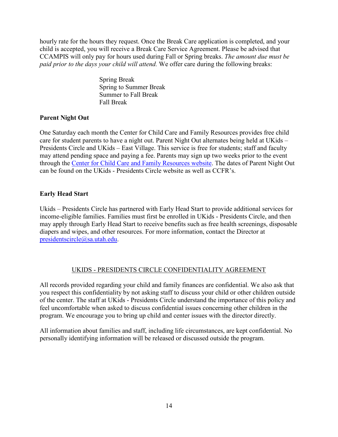hourly rate for the hours they request. Once the Break Care application is completed, and your child is accepted, you will receive a Break Care Service Agreement. Please be advised that CCAMPIS will only pay for hours used during Fall or Spring breaks. *The amount due must be paid prior to the days your child will attend.* We offer care during the following breaks:

> Spring Break Spring to Summer Break Summer to Fall Break Fall Break

## <span id="page-16-0"></span>**Parent Night Out**

One Saturday each month the Center for Child Care and Family Resources provides free child care for student parents to have a night out. Parent Night Out alternates being held at UKids – Presidents Circle and UKids – East Village. This service is free for students; staff and faculty may attend pending space and paying a fee. Parents may sign up two weeks prior to the event through the [Center for Child Care and Family Resources website.](https://childcare.utah.edu/family-programs/parent-night-out.php) The dates of Parent Night Out can be found on the UKids - Presidents Circle website as well as CCFR's.

## <span id="page-16-1"></span>**Early Head Start**

Ukids – Presidents Circle has partnered with Early Head Start to provide additional services for income-eligible families. Families must first be enrolled in UKids - Presidents Circle, and then may apply through Early Head Start to receive benefits such as free health screenings, disposable diapers and wipes, and other resources. For more information, contact the Director at [presidentscircle@sa.utah.edu.](mailto:presidentscircle@sa.utah.edu)

## UKIDS - PRESIDENTS CIRCLE CONFIDENTIALITY AGREEMENT

All records provided regarding your child and family finances are confidential. We also ask that you respect this confidentiality by not asking staff to discuss your child or other children outside of the center. The staff at UKids - Presidents Circle understand the importance of this policy and feel uncomfortable when asked to discuss confidential issues concerning other children in the program. We encourage you to bring up child and center issues with the director directly.

All information about families and staff, including life circumstances, are kept confidential. No personally identifying information will be released or discussed outside the program.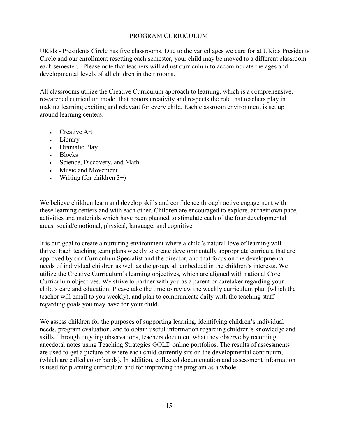#### PROGRAM CURRICULUM

UKids - Presidents Circle has five classrooms. Due to the varied ages we care for at UKids Presidents Circle and our enrollment resetting each semester, your child may be moved to a different classroom each semester. Please note that teachers will adjust curriculum to accommodate the ages and developmental levels of all children in their rooms.

All classrooms utilize the Creative Curriculum approach to learning, which is a comprehensive, researched curriculum model that honors creativity and respects the role that teachers play in making learning exciting and relevant for every child. Each classroom environment is set up around learning centers:

- Creative Art
- Library
- Dramatic Play
- Blocks
- Science, Discovery, and Math
- Music and Movement
- Writing (for children  $3+$ )

We believe children learn and develop skills and confidence through active engagement with these learning centers and with each other. Children are encouraged to explore, at their own pace, activities and materials which have been planned to stimulate each of the four developmental areas: social/emotional, physical, language, and cognitive.

It is our goal to create a nurturing environment where a child's natural love of learning will thrive. Each teaching team plans weekly to create developmentally appropriate curricula that are approved by our Curriculum Specialist and the director, and that focus on the developmental needs of individual children as well as the group, all embedded in the children's interests. We utilize the Creative Curriculum's learning objectives, which are aligned with national Core Curriculum objectives. We strive to partner with you as a parent or caretaker regarding your child's care and education. Please take the time to review the weekly curriculum plan (which the teacher will email to you weekly), and plan to communicate daily with the teaching staff regarding goals you may have for your child.

We assess children for the purposes of supporting learning, identifying children's individual needs, program evaluation, and to obtain useful information regarding children's knowledge and skills. Through ongoing observations, teachers document what they observe by recording anecdotal notes using Teaching Strategies GOLD online portfolios. The results of assessments are used to get a picture of where each child currently sits on the developmental continuum, (which are called color bands). In addition, collected documentation and assessment information is used for planning curriculum and for improving the program as a whole.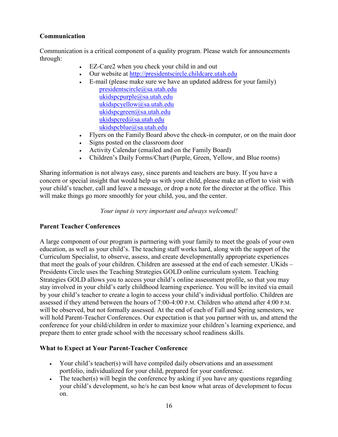## <span id="page-18-0"></span>**Communication**

Communication is a critical component of a quality program. Please watch for announcements through:

- EZ-Care2 when you check your child in and out
- Our website at [http://presidentscircle.childcare.utah.edu](http://presidentscircle.childcare.utah.edu/)
- E-mail (please make sure we have an updated address for your family) [presidentscircle@sa.utah.edu](mailto:presidentscircle@sa.utah.edu) [ukidspcpurple@sa.utah.edu](mailto:ukidspcpurple@sa.utah.edu) [ukidspcyellow@sa.utah.edu](mailto:ukidspcyellow@sa.utah.edu) [ukidspcgreen@sa.utah.edu](mailto:greenroomasuu@sa.utah.edu) [ukidspcred@sa.utah.edu](mailto:ukidspcred@sa.utah.edu) [ukidspcblue@sa.utah.edu](mailto:ukidspcblue@sa.utah.edu)
- Flyers on the Family Board above the check-in computer, or on the main door
- Signs posted on the classroom door
- Activity Calendar (emailed and on the Family Board)
- Children's Daily Forms/Chart (Purple, Green, Yellow, and Blue rooms)

Sharing information is not always easy, since parents and teachers are busy. If you have a concern or special insight that would help us with your child, please make an effort to visit with your child's teacher, call and leave a message, or drop a note for the director at the office. This will make things go more smoothly for your child, you, and the center.

*Your input is very important and always welcomed!*

## <span id="page-18-1"></span>**Parent Teacher Conferences**

A large component of our program is partnering with your family to meet the goals of your own education, as well as your child's. The teaching staff works hard, along with the support of the Curriculum Specialist, to observe, assess, and create developmentally appropriate experiences that meet the goals of your children. Children are assessed at the end of each semester. UKids – Presidents Circle uses the Teaching Strategies GOLD online curriculum system. Teaching Strategies GOLD allows you to access your child's online assessment profile, so that you may stay involved in your child's early childhood learning experience. You will be invited via email by your child's teacher to create a login to access your child's individual portfolio. Children are assessed if they attend between the hours of 7:00-4:00 P.M. Children who attend after 4:00 P.M. will be observed, but not formally assessed. At the end of each of Fall and Spring semesters, we will hold Parent-Teacher Conferences. Our expectation is that you partner with us, and attend the conference for your child/children in order to maximize your children's learning experience, and prepare them to enter grade school with the necessary school readiness skills.

## **What to Expect at Your Parent-Teacher Conference**

- Your child's teacher(s) will have compiled daily observations and an assessment portfolio, individualized for your child, prepared for your conference.
- The teacher(s) will begin the conference by asking if you have any questions regarding your child's development, so he/s he can best know what areas of development to focus on.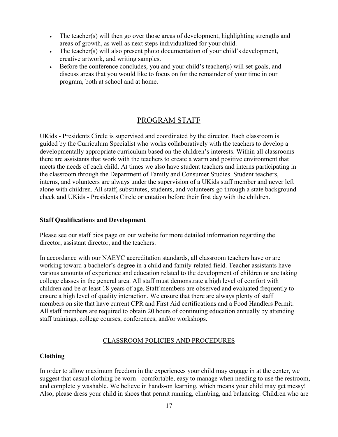- The teacher(s) will then go over those areas of development, highlighting strengths and areas of growth, as well as next steps individualized for your child.
- The teacher(s) will also present photo documentation of your child's development, creative artwork, and writing samples.
- Before the conference concludes, you and your child's teacher(s) will set goals, and discuss areas that you would like to focus on for the remainder of your time in our program, both at school and at home.

## PROGRAM STAFF

UKids - Presidents Circle is supervised and coordinated by the director. Each classroom is guided by the Curriculum Specialist who works collaboratively with the teachers to develop a developmentally appropriate curriculum based on the children's interests. Within all classrooms there are assistants that work with the teachers to create a warm and positive environment that meets the needs of each child. At times we also have student teachers and interns participating in the classroom through the Department of Family and Consumer Studies. Student teachers, interns, and volunteers are always under the supervision of a UKids staff member and never left alone with children. All staff, substitutes, students, and volunteers go through a state background check and UKids - Presidents Circle orientation before their first day with the children.

#### **Staff Qualifications and Development**

Please see our staff bios page on our website for more detailed information regarding the director, assistant director, and the teachers.

In accordance with our NAEYC accreditation standards, all classroom teachers have or are working toward a bachelor's degree in a child and family-related field. Teacher assistants have various amounts of experience and education related to the development of children or are taking college classes in the general area. All staff must demonstrate a high level of comfort with children and be at least 18 years of age. Staff members are observed and evaluated frequently to ensure a high level of quality interaction. We ensure that there are always plenty of staff members on site that have current CPR and First Aid certifications and a Food Handlers Permit. All staff members are required to obtain 20 hours of continuing education annually by attending staff trainings, college courses, conferences, and/or workshops.

#### CLASSROOM POLICIES AND PROCEDURES

#### <span id="page-19-0"></span>**Clothing**

In order to allow maximum freedom in the experiences your child may engage in at the center, we suggest that casual clothing be worn - comfortable, easy to manage when needing to use the restroom, and completely washable. We believe in hands-on learning, which means your child may get messy! Also, please dress your child in shoes that permit running, climbing, and balancing. Children who are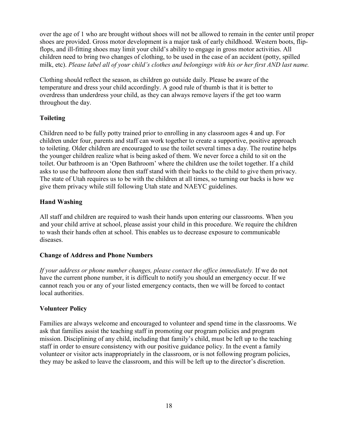over the age of 1 who are brought without shoes will not be allowed to remain in the center until proper shoes are provided. Gross motor development is a major task of early childhood. Western boots, flipflops, and ill-fitting shoes may limit your child's ability to engage in gross motor activities. All children need to bring two changes of clothing, to be used in the case of an accident (potty, spilled milk, etc). *Please label all of your child's clothes and belongings with his or her first AND last name.*

Clothing should reflect the season, as children go outside daily. Please be aware of the temperature and dress your child accordingly. A good rule of thumb is that it is better to overdress than underdress your child, as they can always remove layers if the get too warm throughout the day.

## <span id="page-20-0"></span>**Toileting**

Children need to be fully potty trained prior to enrolling in any classroom ages 4 and up. For children under four, parents and staff can work together to create a supportive, positive approach to toileting. Older children are encouraged to use the toilet several times a day. The routine helps the younger children realize what is being asked of them. We never force a child to sit on the toilet. Our bathroom is an 'Open Bathroom' where the children use the toilet together. If a child asks to use the bathroom alone then staff stand with their backs to the child to give them privacy. The state of Utah requires us to be with the children at all times, so turning our backs is how we give them privacy while still following Utah state and NAEYC guidelines.

## <span id="page-20-1"></span>**Hand Washing**

All staff and children are required to wash their hands upon entering our classrooms. When you and your child arrive at school, please assist your child in this procedure. We require the children to wash their hands often at school. This enables us to decrease exposure to communicable diseases.

## <span id="page-20-2"></span>**Change of Address and Phone Numbers**

If your address or phone number changes, please contact the office immediately. If we do not have the current phone number, it is difficult to notify you should an emergency occur. If we cannot reach you or any of your listed emergency contacts, then we will be forced to contact local authorities.

## <span id="page-20-3"></span>**Volunteer Policy**

Families are always welcome and encouraged to volunteer and spend time in the classrooms. We ask that families assist the teaching staff in promoting our program policies and program mission. Disciplining of any child, including that family's child, must be left up to the teaching staff in order to ensure consistency with our positive guidance policy. In the event a family volunteer or visitor acts inappropriately in the classroom, or is not following program policies, they may be asked to leave the classroom, and this will be left up to the director's discretion.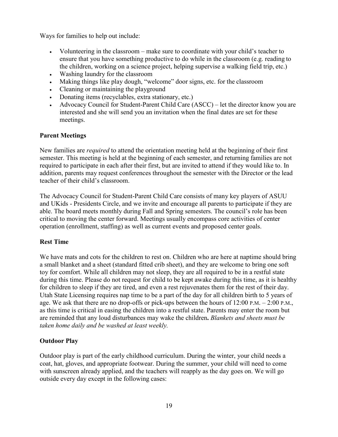Ways for families to help out include:

- Volunteering in the classroom make sure to coordinate with your child's teacher to ensure that you have something productive to do while in the classroom (e.g. reading to the children, working on a science project, helping supervise a walking field trip, etc.)
- Washing laundry for the classroom
- Making things like play dough, "welcome" door signs, etc. for the classroom
- Cleaning or maintaining the playground
- Donating items (recyclables, extra stationary, etc.)
- Advocacy Council for Student-Parent Child Care (ASCC) let the director know you are interested and she will send you an invitation when the final dates are set for these meetings.

## <span id="page-21-0"></span>**Parent Meetings**

New families are *required* to attend the orientation meeting held at the beginning of their first semester. This meeting is held at the beginning of each semester, and returning families are not required to participate in each after their first, but are invited to attend if they would like to. In addition, parents may request conferences throughout the semester with the Director or the lead teacher of their child's classroom.

The Advocacy Council for Student-Parent Child Care consists of many key players of ASUU and UKids - Presidents Circle, and we invite and encourage all parents to participate if they are able. The board meets monthly during Fall and Spring semesters. The council's role has been critical to moving the center forward. Meetings usually encompass core activities of center operation (enrollment, staffing) as well as current events and proposed center goals.

## <span id="page-21-1"></span>**Rest Time**

We have mats and cots for the children to rest on. Children who are here at naptime should bring a small blanket and a sheet (standard fitted crib sheet), and they are welcome to bring one soft toy for comfort. While all children may not sleep, they are all required to be in a restful state during this time. Please do not request for child to be kept awake during this time, as it is healthy for children to sleep if they are tired, and even a rest rejuvenates them for the rest of their day. Utah State Licensing requires nap time to be a part of the day for all children birth to 5 years of age. We ask that there are no drop-offs or pick-ups between the hours of 12:00 P.M. – 2:00 P.M., as this time is critical in easing the children into a restful state. Parents may enter the room but are reminded that any loud disturbances may wake the children**.** *Blankets and sheets must be taken home daily and be washed at least weekly.*

## **Outdoor Play**

Outdoor play is part of the early childhood curriculum. During the winter, your child needs a coat, hat, gloves, and appropriate footwear. During the summer, your child will need to come with sunscreen already applied, and the teachers will reapply as the day goes on. We will go outside every day except in the following cases: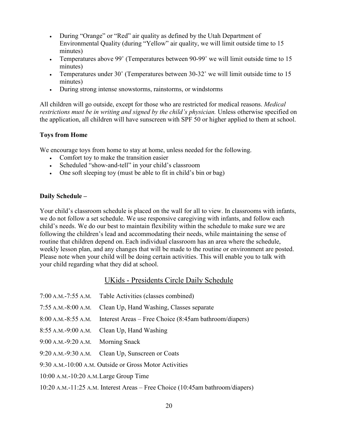- During "Orange" or "Red" air quality as defined by the Utah Department of Environmental Quality (during "Yellow" air quality, we will limit outside time to 15 minutes)
- Temperatures above 99° (Temperatures between 90-99° we will limit outside time to 15 minutes)
- Temperatures under 30° (Temperatures between 30-32° we will limit outside time to 15 minutes)
- During strong intense snowstorms, rainstorms, or windstorms

All children will go outside, except for those who are restricted for medical reasons. *Medical restrictions must be in writing and signed by the child's physician.* Unless otherwise specified on the application, all children will have sunscreen with SPF 50 or higher applied to them at school.

#### <span id="page-22-0"></span>**Toys from Home**

We encourage toys from home to stay at home, unless needed for the following.

- Comfort toy to make the transition easier
- Scheduled "show-and-tell" in your child's classroom
- One soft sleeping toy (must be able to fit in child's bin or bag)

#### <span id="page-22-1"></span>**Daily Schedule –**

Your child's classroom schedule is placed on the wall for all to view. In classrooms with infants, we do not follow a set schedule. We use responsive caregiving with infants, and follow each child's needs. We do our best to maintain flexibility within the schedule to make sure we are following the children's lead and accommodating their needs, while maintaining the sense of routine that children depend on. Each individual classroom has an area where the schedule, weekly lesson plan, and any changes that will be made to the routine or environment are posted. Please note when your child will be doing certain activities. This will enable you to talk with your child regarding what they did at school.

## UKids - Presidents Circle Daily Schedule

- 7:00 A.M.-7:55 A.M. Table Activities (classes combined)
- 7:55 A.M.-8:00 A.M. Clean Up, Hand Washing, Classes separate
- 8:00 A.M.-8:55 A.M. Interest Areas Free Choice (8:45am bathroom/diapers)
- 8:55 A.M.-9:00 A.M. Clean Up, Hand Washing
- 9:00 A.M.-9:20 A.M. Morning Snack
- 9:20 A.M.-9:30 A.M. Clean Up, Sunscreen or Coats
- 9:30 A.M.-10:00 A.M. Outside or Gross Motor Activities
- 10:00 A.M.-10:20 A.M.Large Group Time
- 10:20 A.M.-11:25 A.M. Interest Areas Free Choice (10:45am bathroom/diapers)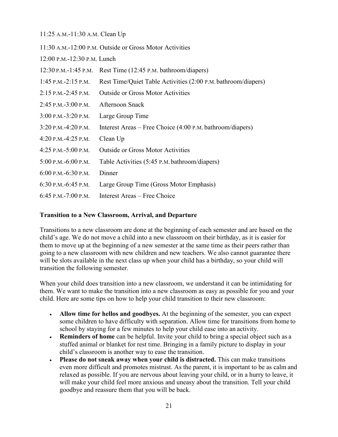11:25 A.M.-11:30 A.M. Clean Up

|                             | 11:30 A.M.-12:00 P.M. Outside or Gross Motor Activities       |
|-----------------------------|---------------------------------------------------------------|
| 12:00 P.M.-12:30 P.M. Lunch |                                                               |
| $12:30$ P.M.-1:45 P.M.      | Rest Time (12:45 P.M. bathroom/diapers)                       |
| $1:45$ P.M.-2:15 P.M.       | Rest Time/Quiet Table Activities (2:00 P.M. bathroom/diapers) |
| $2:15$ P.M. $-2:45$ P.M.    | <b>Outside or Gross Motor Activities</b>                      |
| $2:45$ P.M.-3:00 P.M.       | <b>Afternoon Snack</b>                                        |
| $3:00$ P.M. $-3:20$ P.M.    | Large Group Time                                              |
| 3:20 P.M.-4:20 P.M.         | Interest Areas – Free Choice (4:00 P.M. bathroom/diapers)     |
| 4:20 P.M. $-4:25$ P.M.      | Clean Up                                                      |
| 4:25 P.M. $-5:00$ P.M.      | <b>Outside or Gross Motor Activities</b>                      |
| $5:00$ P.M.-6:00 P.M.       | Table Activities (5:45 P.M. bathroom/diapers)                 |
| 6:00 P.M.-6:30 P.M.         | Dinner                                                        |
| 6:30 P.M. $-6:45$ P.M.      | Large Group Time (Gross Motor Emphasis)                       |
| 6:45 P.M.-7:00 P.M.         | Interest Areas – Free Choice                                  |

#### **Transition to a New Classroom, Arrival, and Departure**

Transitions to a new classroom are done at the beginning of each semester and are based on the child's age. We do not move a child into a new classroom on their birthday, as it is easier for them to move up at the beginning of a new semester at the same time as their peers rather than going to a new classroom with new children and new teachers. We also cannot guarantee there will be slots available in the next class up when your child has a birthday, so your child will transition the following semester.

When your child does transition into a new classroom, we understand it can be intimidating for them. We want to make the transition into a new classroom as easy as possible for you and your child. Here are some tips on how to help your child transition to their new classroom:

- **Allow time for hellos and goodbyes.** At the beginning of the semester, you can expect some children to have difficulty with separation. Allow time for transitions from home to school by staying for a few minutes to help your child ease into an activity.
- **Reminders of home** can be helpful. Invite your child to bring a special object such as a stuffed animal or blanket for rest time. Bringing in a family picture to display in your child's classroom is another way to ease the transition.
- **Please do not sneak away when your child is distracted.** This can make transitions even more difficult and promotes mistrust. As the parent, it is important to be as calm and relaxed as possible. If you are nervous about leaving your child, or in a hurry to leave, it will make your child feel more anxious and uneasy about the transition. Tell your child goodbye and reassure them that you will be back.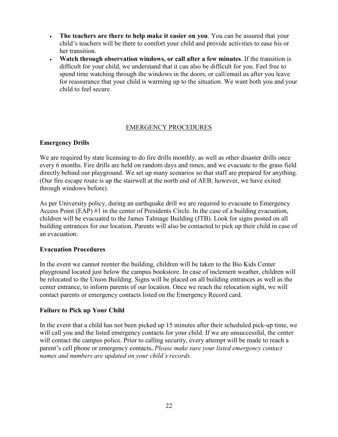- **The teachers are there to help make it easier on you**. You can be assured that your child's teachers will be there to comfort your child and provide activities to ease his or her transition.
- **Watch through observation windows, or call after a few minutes**. If the transition is difficult for your child, we understand that it can also be difficult for you. Feel free to spend time watching through the windows in the doors, or call/email us after you leave for reassurance that your child is warming up to the situation. We want both you and your child to feel secure.

#### EMERGENCY PROCEDURES

#### <span id="page-24-0"></span>**Emergency Drills**

We are required by state licensing to do fire drills monthly, as well as other disaster drills once every 6 months. Fire drills are held on random days and times, and we evacuate to the grass field directly behind our playground. We set up many scenarios so that staff are prepared for anything. (Our fire escape route is up the stairwell at the north end of AEB; however, we have exited through windows before).

As per University policy, during an earthquake drill we are required to evacuate to Emergency Access Point (EAP) #1 in the center of Presidents Circle. In the case of a building evacuation, children will be evacuated to the James Talmage Building (JTB). Look for signs posted on all building entrances for our location. Parents will also be contacted to pick up their child in case of an evacuation.

#### **Evacuation Procedures**

In the event we cannot reenter the building, children will be taken to the Bio Kids Center playground located just below the campus bookstore. In case of inclement weather, children will be relocated to the Union Building. Signs will be placed on all building entrances as well as the center entrance, to inform parents of our location. Once we reach the relocation sight, we will contact parents or emergency contacts listed on the Emergency Record card.

#### <span id="page-24-1"></span>**Failure to Pick up Your Child**

In the event that a child has not been picked up 15 minutes after their scheduled pick-up time, we will call you and the listed emergency contacts for your child. If we are unsuccessful, the center will contact the campus police. Prior to calling security, every attempt will be made to reach a parent's cell phone or emergency contacts**.** *Please make sure your listed emergency contact names and numbers are updated on your child's records.*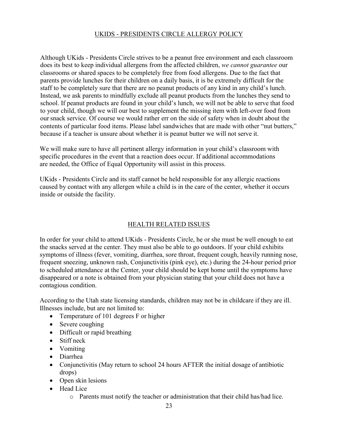## UKIDS - PRESIDENTS CIRCLE ALLERGY POLICY

Although UKids - Presidents Circle strives to be a peanut free environment and each classroom does its best to keep individual allergens from the affected children, *we cannot guarantee* our classrooms or shared spaces to be completely free from food allergens. Due to the fact that parents provide lunches for their children on a daily basis, it is be extremely difficult for the staff to be completely sure that there are no peanut products of any kind in any child's lunch. Instead, we ask parents to mindfully exclude all peanut products from the lunches they send to school. If peanut products are found in your child's lunch, we will not be able to serve that food to your child, though we will our best to supplement the missing item with left-over food from oursnack service. Of course we would rather err on the side of safety when in doubt about the contents of particular food items. Please label sandwiches that are made with other "nut butters," because if a teacher is unsure about whether it is peanut butter we will not serve it.

We will make sure to have all pertinent allergy information in your child's classroom with specific procedures in the event that a reaction does occur. If additional accommodations are needed, the Office of Equal Opportunity will assist in this process.

UKids - Presidents Circle and its staff cannot be held responsible for any allergic reactions caused by contact with any allergen while a child is in the care of the center, whether it occurs inside or outside the facility.

## HEALTH RELATED ISSUES

In order for your child to attend UKids - Presidents Circle, he or she must be well enough to eat the snacks served at the center. They must also be able to go outdoors. If your child exhibits symptoms of illness (fever, vomiting, diarrhea, sore throat, frequent cough, heavily running nose, frequent sneezing, unknown rash, Conjunctivitis (pink eye), etc.) during the 24-hour period prior to scheduled attendance at the Center, your child should be kept home until the symptoms have disappeared or a note is obtained from your physician stating that your child does not have a contagious condition.

According to the Utah state licensing standards, children may not be in childcare if they are ill. Illnesses include, but are not limited to:

- Temperature of 101 degrees F or higher
- Severe coughing
- Difficult or rapid breathing
- Stiff neck
- Vomiting
- Diarrhea
- Conjunctivitis (May return to school 24 hours AFTER the initial dosage of antibiotic drops)
- Open skin lesions
- Head Lice
	- o Parents must notify the teacher or administration that their child has/had lice.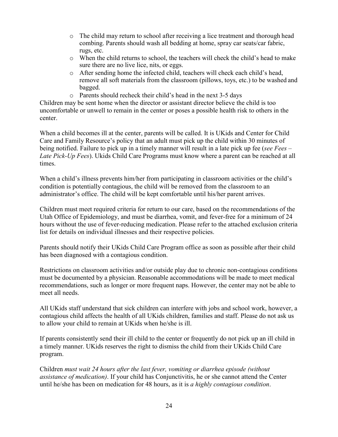- o The child may return to school after receiving a lice treatment and thorough head combing. Parents should wash all bedding at home, spray car seats/car fabric, rugs, etc.
- o When the child returns to school, the teachers will check the child's head to make sure there are no live lice, nits, or eggs.
- o After sending home the infected child, teachers will check each child's head, remove all soft materials from the classroom (pillows, toys, etc.) to be washed and bagged.
- o Parents should recheck their child's head in the next 3-5 days

Children may be sent home when the director or assistant director believe the child is too uncomfortable or unwell to remain in the center or poses a possible health risk to others in the center.

When a child becomes ill at the center, parents will be called. It is UKids and Center for Child Care and Family Resource's policy that an adult must pick up the child within 30 minutes of being notified. Failure to pick up in a timely manner will result in a late pick up fee (*see Fees – Late Pick-Up Fees*). Ukids Child Care Programs must know where a parent can be reached at all times.

When a child's illness prevents him/her from participating in classroom activities or the child's condition is potentially contagious, the child will be removed from the classroom to an administrator's office. The child will be kept comfortable until his/her parent arrives.

Children must meet required criteria for return to our care, based on the recommendations of the Utah Office of Epidemiology, and must be diarrhea, vomit, and fever-free for a minimum of 24 hours without the use of fever-reducing medication. Please refer to the attached exclusion criteria list for details on individual illnesses and their respective policies.

Parents should notify their UKids Child Care Program office as soon as possible after their child has been diagnosed with a contagious condition.

Restrictions on classroom activities and/or outside play due to chronic non-contagious conditions must be documented by a physician. Reasonable accommodations will be made to meet medical recommendations, such as longer or more frequent naps. However, the center may not be able to meet all needs.

All UKids staff understand that sick children can interfere with jobs and school work, however, a contagious child affects the health of all UKids children, families and staff. Please do not ask us to allow your child to remain at UKids when he/she is ill.

If parents consistently send their ill child to the center or frequently do not pick up an ill child in a timely manner. UKids reserves the right to dismiss the child from their UKids Child Care program.

Children *must wait 24 hours after the last fever, vomiting or diarrhea episode (without assistance of medication)*. If your child has Conjunctivitis, he or she cannot attend the Center until he/she has been on medication for 48 hours, as it is *a highly contagious condition*.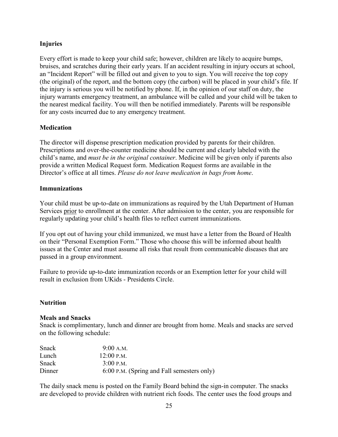## <span id="page-27-0"></span>**Injuries**

Every effort is made to keep your child safe; however, children are likely to acquire bumps, bruises, and scratches during their early years. If an accident resulting in injury occurs at school, an "Incident Report" will be filled out and given to you to sign. You will receive the top copy (the original) of the report, and the bottom copy (the carbon) will be placed in your child's file. If the injury is serious you will be notified by phone. If, in the opinion of our staff on duty, the injury warrants emergency treatment, an ambulance will be called and your child will be taken to the nearest medical facility. You will then be notified immediately. Parents will be responsible for any costs incurred due to any emergency treatment.

## <span id="page-27-1"></span>**Medication**

The director will dispense prescription medication provided by parents for their children. Prescriptions and over-the-counter medicine should be current and clearly labeled with the child's name, and *must be in the original container*. Medicine will be given only if parents also provide a written Medical Request form. Medication Request forms are available in the Director's office at all times. *Please do not leave medication in bags from home*.

## <span id="page-27-2"></span>**Immunizations**

Your child must be up-to-date on immunizations as required by the Utah Department of Human Services prior to enrollment at the center. After admission to the center, you are responsible for regularly updating your child's health files to reflect current immunizations.

If you opt out of having your child immunized, we must have a letter from the Board of Health on their "Personal Exemption Form." Those who choose this will be informed about health issues at the Center and must assume all risks that result from communicable diseases that are passed in a group environment.

Failure to provide up-to-date immunization records or an Exemption letter for your child will result in exclusion from UKids - Presidents Circle.

#### <span id="page-27-3"></span>**Nutrition**

#### **Meals and Snacks**

Snack is complimentary, lunch and dinner are brought from home. Meals and snacks are served on the following schedule:

| Snack  | 9:00 A.M.                                  |
|--------|--------------------------------------------|
| Lunch  | $12:00$ P.M.                               |
| Snack  | $3:00$ P.M.                                |
| Dinner | 6:00 P.M. (Spring and Fall semesters only) |

The daily snack menu is posted on the Family Board behind the sign-in computer. The snacks are developed to provide children with nutrient rich foods. The center uses the food groups and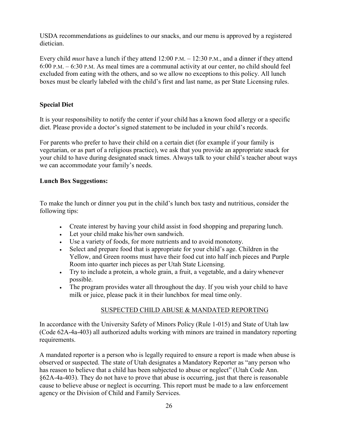USDA recommendations as guidelines to our snacks, and our menu is approved by a registered dietician.

Every child *must* have a lunch if they attend 12:00 P.M. – 12:30 P.M., and a dinner if they attend 6:00 P.M. – 6:30 P.M. As meal times are a communal activity at our center, no child should feel excluded from eating with the others, and so we allow no exceptions to this policy. All lunch boxes must be clearly labeled with the child's first and last name, as per State Licensing rules.

## **Special Diet**

It is your responsibility to notify the center if your child has a known food allergy or a specific diet. Please provide a doctor's signed statement to be included in your child's records.

For parents who prefer to have their child on a certain diet (for example if your family is vegetarian, or as part of a religious practice), we ask that you provide an appropriate snack for your child to have during designated snack times. Always talk to your child's teacher about ways we can accommodate your family's needs.

## **Lunch Box Suggestions:**

To make the lunch or dinner you put in the child's lunch box tasty and nutritious, consider the following tips:

- Create interest by having your child assist in food shopping and preparing lunch.
- Let your child make his/her own sandwich.
- Use a variety of foods, for more nutrients and to avoid monotony.
- Select and prepare food that is appropriate for your child's age. Children in the Yellow, and Green rooms must have their food cut into half inch pieces and Purple Room into quarter inch pieces as per Utah State Licensing.
- Try to include a protein, a whole grain, a fruit, a vegetable, and a dairy whenever possible.
- The program provides water all throughout the day. If you wish your child to have milk or juice, please pack it in their lunchbox for meal time only.

## SUSPECTED CHILD ABUSE & MANDATED REPORTING

In accordance with the University Safety of Minors Policy (Rule 1-015) and State of Utah law (Code 62A-4a-403) all authorized adults working with minors are trained in mandatory reporting requirements.

A mandated reporter is a person who is legally required to ensure a report is made when abuse is observed or suspected. The state of Utah designates a Mandatory Reporter as "any person who has reason to believe that a child has been subjected to abuse or neglect" (Utah Code Ann. §62A-4a-403). They do not have to prove that abuse is occurring, just that there is reasonable cause to believe abuse or neglect is occurring. This report must be made to a law enforcement agency or the Division of Child and Family Services.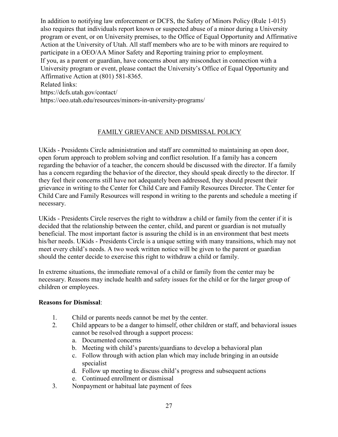In addition to notifying law enforcement or DCFS, the Safety of Minors Policy (Rule 1-015) also requires that individuals report known or suspected abuse of a minor during a University program or event, or on University premises, to the Office of Equal Opportunity and Affirmative Action at the University of Utah. All staff members who are to be with minors are required to participate in a OEO/AA Minor Safety and Reporting training prior to employment. If you, as a parent or guardian, have concerns about any misconduct in connection with a University program or event, please contact the University's Office of Equal Opportunity and Affirmative Action at (801) 581-8365. Related links:

https://dcfs.utah.gov/contact/

https://oeo.utah.edu/resources/minors-in-university-programs/

## FAMILY GRIEVANCE AND DISMISSAL POLICY

UKids - Presidents Circle administration and staff are committed to maintaining an open door, open forum approach to problem solving and conflict resolution. If a family has a concern regarding the behavior of a teacher, the concern should be discussed with the director. If a family has a concern regarding the behavior of the director, they should speak directly to the director. If they feel their concerns still have not adequately been addressed, they should present their grievance in writing to the Center for Child Care and Family Resources Director. The Center for Child Care and Family Resources will respond in writing to the parents and schedule a meeting if necessary.

UKids - Presidents Circle reserves the right to withdraw a child or family from the center if it is decided that the relationship between the center, child, and parent or guardian is not mutually beneficial. The most important factor is assuring the child is in an environment that best meets his/her needs. UKids - Presidents Circle is a unique setting with many transitions, which may not meet every child's needs. A two week written notice will be given to the parent or guardian should the center decide to exercise this right to withdraw a child or family.

In extreme situations, the immediate removal of a child or family from the center may be necessary. Reasons may include health and safety issues for the child or for the larger group of children or employees.

#### **Reasons for Dismissal**:

- 1. Child or parents needs cannot be met by the center.
- 2. Child appears to be a danger to himself, other children or staff, and behavioral issues cannot be resolved through a support process:
	- a. Documented concerns
	- b. Meeting with child's parents/guardians to develop a behavioral plan
	- c. Follow through with action plan which may include bringing in an outside specialist
	- d. Follow up meeting to discuss child's progress and subsequent actions
	- e. Continued enrollment or dismissal
- 3. Nonpayment or habitual late payment of fees